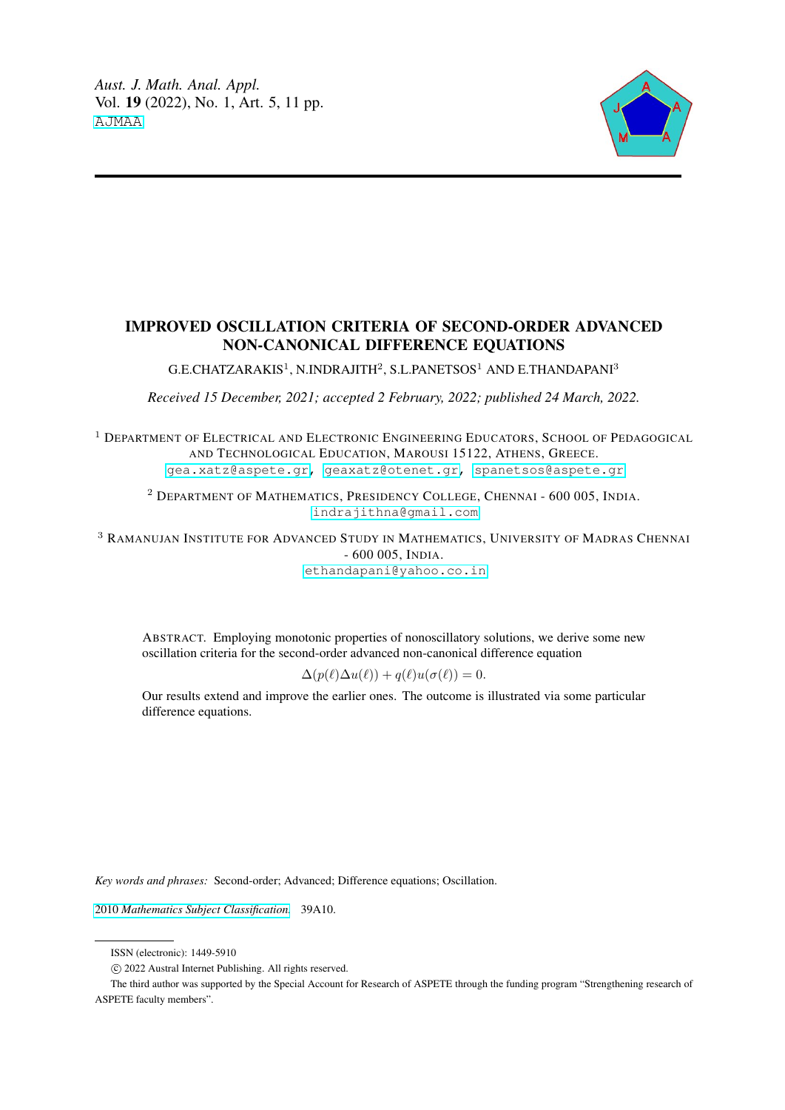

# IMPROVED OSCILLATION CRITERIA OF SECOND-ORDER ADVANCED NON-CANONICAL DIFFERENCE EQUATIONS

G.E.CHATZARAKIS $^1$ , N.INDRAJITH $^2$ , S.L.PANETSOS $^1$  AND E.THANDAPANI $^3$ 

*Received 15 December, 2021; accepted 2 February, 2022; published 24 March, 2022.*

<sup>1</sup> DEPARTMENT OF ELECTRICAL AND ELECTRONIC ENGINEERING EDUCATORS, SCHOOL OF PEDAGOGICAL AND TECHNOLOGICAL EDUCATION, MAROUSI 15122, ATHENS, GREECE. [gea.xatz@aspete.gr,](mailto: <gea.xatz@aspete.gr>) [geaxatz@otenet.gr,](mailto: <geaxatz@otenet.gr>) [spanetsos@aspete.gr](mailto: <spanetsos@aspete.gr>)

<sup>2</sup> DEPARTMENT OF MATHEMATICS, PRESIDENCY COLLEGE, CHENNAI - 600 005, INDIA. [indrajithna@gmail.com](mailto: <indrajithna@gmail.com>)

<sup>3</sup> RAMANUJAN INSTITUTE FOR ADVANCED STUDY IN MATHEMATICS, UNIVERSITY OF MADRAS CHENNAI - 600 005, INDIA.

[ethandapani@yahoo.co.in](mailto: <ethandapani@yahoo.co.in>)

ABSTRACT. Employing monotonic properties of nonoscillatory solutions, we derive some new oscillation criteria for the second-order advanced non-canonical difference equation

$$
\Delta(p(\ell)\Delta u(\ell)) + q(\ell)u(\sigma(\ell)) = 0.
$$

Our results extend and improve the earlier ones. The outcome is illustrated via some particular difference equations.

*Key words and phrases:* Second-order; Advanced; Difference equations; Oscillation.

2010 *[Mathematics Subject Classification.](https://www.ams.org/msc/)* 39A10.

The third author was supported by the Special Account for Research of ASPETE through the funding program "Strengthening research of ASPETE faculty members".

ISSN (electronic): 1449-5910

c 2022 Austral Internet Publishing. All rights reserved.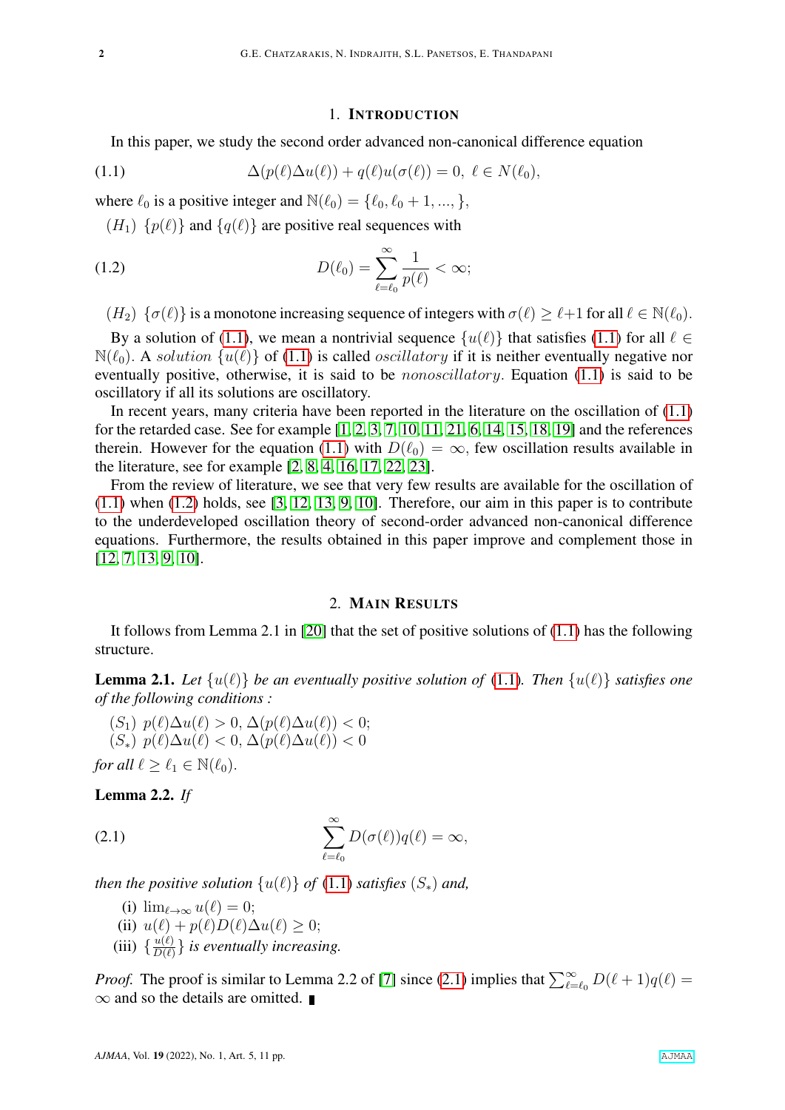### <span id="page-1-1"></span><span id="page-1-0"></span>1. INTRODUCTION

In this paper, we study the second order advanced non-canonical difference equation

(1.1) 
$$
\Delta(p(\ell)\Delta u(\ell)) + q(\ell)u(\sigma(\ell)) = 0, \ \ell \in N(\ell_0),
$$

where  $\ell_0$  is a positive integer and  $\mathbb{N}(\ell_0) = {\ell_0, \ell_0 + 1, ..., \}$ ,

 $(H_1)$  { $p(\ell)$ } and { $q(\ell)$ } are positive real sequences with

(1.2) 
$$
D(\ell_0) = \sum_{\ell=\ell_0}^{\infty} \frac{1}{p(\ell)} < \infty;
$$

 $(H_2) \{\sigma(\ell)\}\$ is a monotone increasing sequence of integers with  $\sigma(\ell) \geq \ell+1$  for all  $\ell \in \mathbb{N}(\ell_0)$ .

By a solution of [\(1.1\)](#page-1-0), we mean a nontrivial sequence  $\{u(\ell)\}\$  that satisfies (1.1) for all  $\ell \in$  $\mathbb{N}(\ell_0)$ . A solution  $\{u(\ell)\}\$  of [\(1.1\)](#page-1-0) is called oscillatory if it is neither eventually negative nor eventually positive, otherwise, it is said to be *nonoscillatory*. Equation [\(1.1\)](#page-1-0) is said to be oscillatory if all its solutions are oscillatory.

In recent years, many criteria have been reported in the literature on the oscillation of [\(1.1\)](#page-1-0) for the retarded case. See for example [\[1,](#page-9-0) [2,](#page-9-1) [3,](#page-9-2) [7,](#page-9-3) [10,](#page-9-4) [11,](#page-9-5) [21,](#page-10-0) [6,](#page-9-6) [14,](#page-9-7) [15,](#page-9-8) [18,](#page-9-9) [19\]](#page-9-10) and the references therein. However for the equation [\(1.1\)](#page-1-0) with  $D(\ell_0) = \infty$ , few oscillation results available in the literature, see for example [\[2,](#page-9-1) [8,](#page-9-11) [4,](#page-9-12) [16,](#page-9-13) [17,](#page-9-14) [22,](#page-10-1) [23\]](#page-10-2).

From the review of literature, we see that very few results are available for the oscillation of  $(1.1)$  when  $(1.2)$  holds, see  $[3, 12, 13, 9, 10]$  $[3, 12, 13, 9, 10]$  $[3, 12, 13, 9, 10]$  $[3, 12, 13, 9, 10]$  $[3, 12, 13, 9, 10]$ . Therefore, our aim in this paper is to contribute to the underdeveloped oscillation theory of second-order advanced non-canonical difference equations. Furthermore, the results obtained in this paper improve and complement those in [\[12,](#page-9-15) [7,](#page-9-3) [13,](#page-9-16) [9,](#page-9-17) [10\]](#page-9-4).

## 2. MAIN RESULTS

It follows from Lemma 2.1 in [\[20\]](#page-10-3) that the set of positive solutions of [\(1.1\)](#page-1-0) has the following structure.

<span id="page-1-4"></span>**Lemma 2.1.** Let  $\{u(\ell)\}\$  be an eventually positive solution of [\(1.1\)](#page-1-0). Then  $\{u(\ell)\}\$  satisfies one *of the following conditions :*

 $(S_1)$   $p(\ell)\Delta u(\ell) > 0$ ,  $\Delta(p(\ell)\Delta u(\ell)) < 0$ ;  $(S_*)$   $p(\ell)\Delta u(\ell) < 0$ ,  $\Delta(p(\ell)\Delta u(\ell)) < 0$ *for all*  $\ell > \ell_1 \in \mathbb{N}(\ell_0)$ .

<span id="page-1-3"></span>Lemma 2.2. 
$$
If
$$

(2.1) 
$$
\sum_{\ell=\ell_0}^{\infty} D(\sigma(\ell))q(\ell) = \infty,
$$

*then the positive solution*  $\{u(\ell)\}\$  *of* [\(1.1\)](#page-1-0) *satisfies*  $(S_*)$  *and,* 

- <span id="page-1-2"></span>(i)  $\lim_{\ell \to \infty} u(\ell) = 0;$
- (ii)  $u(\ell) + p(\ell)D(\ell)\Delta u(\ell) \geq 0;$
- (iii)  $\{\frac{u(\ell)}{D(\ell)}\}$  $\frac{u(t)}{D(\ell)}\}$  is eventually increasing.

*Proof.* The proof is similar to Lemma 2.2 of [\[7\]](#page-9-3) since [\(2.1\)](#page-1-2) implies that  $\sum_{\ell=\ell_0}^{\infty} D(\ell+1)q(\ell) =$  $\infty$  and so the details are omitted.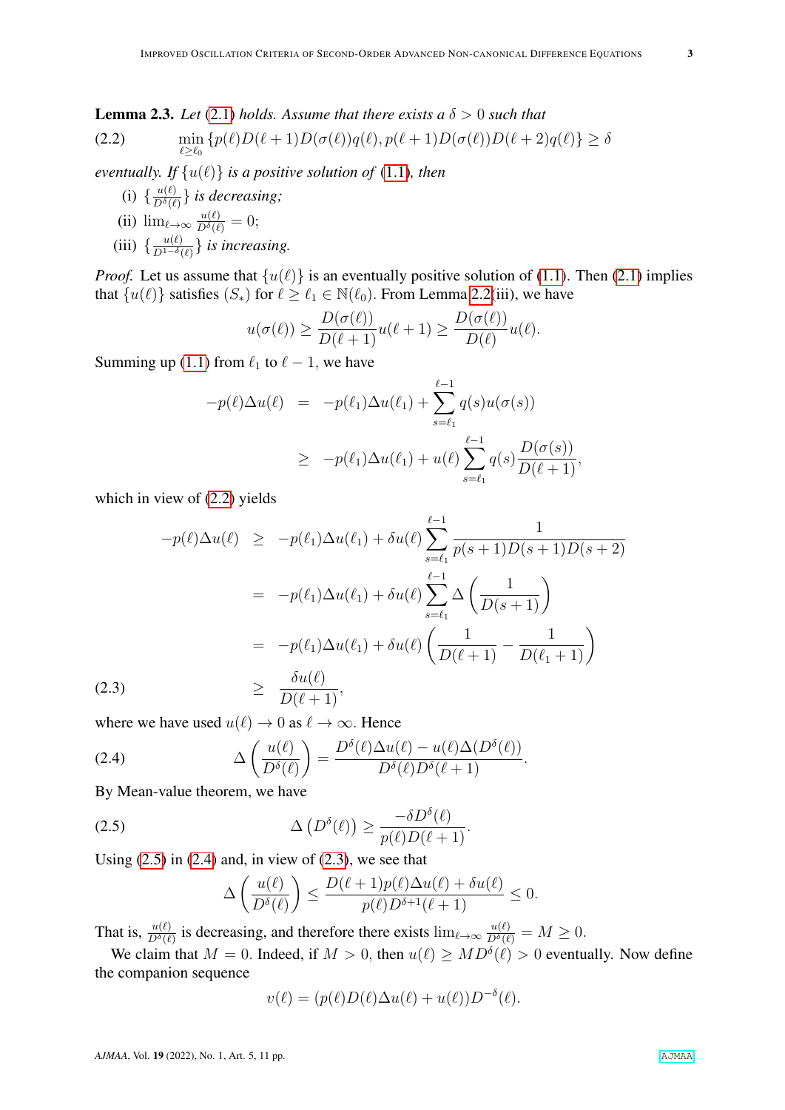<span id="page-2-4"></span>**Lemma 2.3.** Let [\(2.1\)](#page-1-2) *holds.* Assume that there exists a  $\delta > 0$  such that

<span id="page-2-0"></span>(2.2) 
$$
\min_{\ell \geq \ell_0} \left\{ p(\ell)D(\ell+1)D(\sigma(\ell))q(\ell), p(\ell+1)D(\sigma(\ell))D(\ell+2)q(\ell) \right\} \geq \delta
$$

*eventually. If*  $\{u(\ell)\}\$  *is a positive solution of* [\(1.1\)](#page-1-0)*, then* 

- (i)  $\{\frac{u(\ell)}{D^{\delta}(\ell)}\}$  $\frac{u(\ell)}{D^{\delta}(\ell)}\}$  is decreasing;
- (ii)  $\lim_{\ell \to \infty} \frac{u(\ell)}{D^{\delta}(\ell)} = 0;$ (iii)  $\{\frac{u(\ell)}{D^{1-\delta}(\ell)}\}$  $\frac{u(\ell)}{D^{1-\delta}(\ell)}\}$  is increasing.

*Proof.* Let us assume that  $\{u(\ell)\}\$ is an eventually positive solution of [\(1.1\)](#page-1-0). Then [\(2.1\)](#page-1-2) implies that  $\{u(\ell)\}\$  satisfies  $(S_*)$  for  $\ell \geq \ell_1 \in \mathbb{N}(\ell_0)$ . From Lemma [2.2\(](#page-1-3)iii), we have

$$
u(\sigma(\ell)) \ge \frac{D(\sigma(\ell))}{D(\ell+1)}u(\ell+1) \ge \frac{D(\sigma(\ell))}{D(\ell)}u(\ell).
$$

Summing up [\(1.1\)](#page-1-0) from  $\ell_1$  to  $\ell - 1$ , we have

$$
-p(\ell)\Delta u(\ell) = -p(\ell_1)\Delta u(\ell_1) + \sum_{s=\ell_1}^{\ell-1} q(s)u(\sigma(s))
$$
  
 
$$
\geq -p(\ell_1)\Delta u(\ell_1) + u(\ell) \sum_{s=\ell_1}^{\ell-1} q(s) \frac{D(\sigma(s))}{D(\ell+1)},
$$

which in view of [\(2.2\)](#page-2-0) yields

<span id="page-2-3"></span>
$$
-p(\ell)\Delta u(\ell) \ge -p(\ell_1)\Delta u(\ell_1) + \delta u(\ell) \sum_{s=\ell_1}^{\ell-1} \frac{1}{p(s+1)D(s+1)D(s+2)}
$$
  

$$
= -p(\ell_1)\Delta u(\ell_1) + \delta u(\ell) \sum_{s=\ell_1}^{\ell-1} \Delta \left(\frac{1}{D(s+1)}\right)
$$
  

$$
= -p(\ell_1)\Delta u(\ell_1) + \delta u(\ell) \left(\frac{1}{D(\ell+1)} - \frac{1}{D(\ell_1+1)}\right)
$$
  
(2.3) 
$$
\ge \frac{\delta u(\ell)}{D(\ell+1)},
$$

where we have used  $u(\ell) \to 0$  as  $\ell \to \infty$ . Hence

(2.4) 
$$
\Delta\left(\frac{u(\ell)}{D^{\delta}(\ell)}\right) = \frac{D^{\delta}(\ell)\Delta u(\ell) - u(\ell)\Delta(D^{\delta}(\ell))}{D^{\delta}(\ell)D^{\delta}(\ell+1)}.
$$

By Mean-value theorem, we have

(2.5) 
$$
\Delta(D^{\delta}(\ell)) \geq \frac{-\delta D^{\delta}(\ell)}{p(\ell)D(\ell+1)}.
$$

Using  $(2.5)$  in  $(2.4)$  and, in view of  $(2.3)$ , we see that

<span id="page-2-2"></span><span id="page-2-1"></span>
$$
\Delta\left(\frac{u(\ell)}{D^{\delta}(\ell)}\right) \le \frac{D(\ell+1)p(\ell)\Delta u(\ell)+\delta u(\ell)}{p(\ell)D^{\delta+1}(\ell+1)} \le 0.
$$

That is,  $\frac{u(\ell)}{D^{\delta}(\ell)}$  is decreasing, and therefore there exists  $\lim_{\ell \to \infty} \frac{u(\ell)}{D^{\delta}(\ell)} = M \ge 0$ .

We claim that  $M = 0$ . Indeed, if  $M > 0$ , then  $u(\ell) \geq M D^{\delta}(\ell) > 0$  eventually. Now define the companion sequence

$$
v(\ell) = (p(\ell)D(\ell)\Delta u(\ell) + u(\ell))D^{-\delta}(\ell).
$$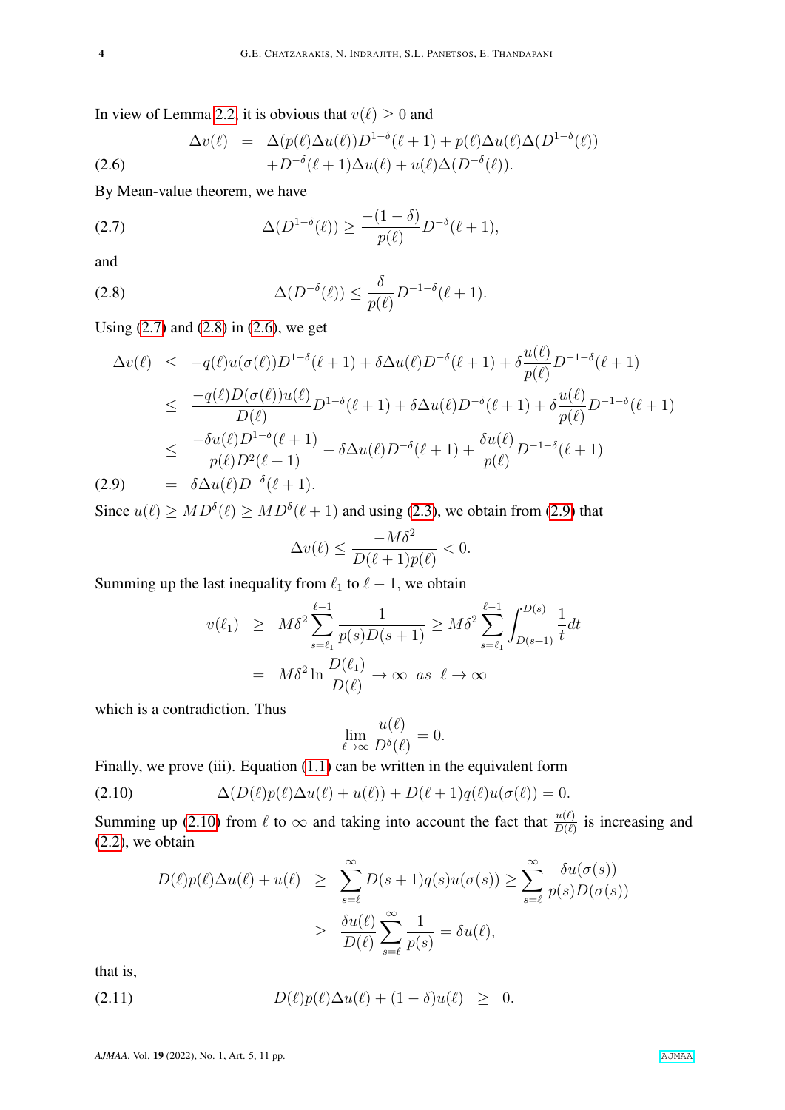In view of Lemma [2.2,](#page-1-3) it is obvious that  $v(\ell) \ge 0$  and

<span id="page-3-2"></span>
$$
\Delta v(\ell) = \Delta (p(\ell) \Delta u(\ell)) D^{1-\delta}(\ell+1) + p(\ell) \Delta u(\ell) \Delta (D^{1-\delta}(\ell)) + D^{-\delta}(\ell+1) \Delta u(\ell) + u(\ell) \Delta (D^{-\delta}(\ell)).
$$
\n(2.6)

By Mean-value theorem, we have

<span id="page-3-0"></span>(2.7) 
$$
\Delta(D^{1-\delta}(\ell)) \ge \frac{-(1-\delta)}{p(\ell)} D^{-\delta}(\ell+1),
$$

and

<span id="page-3-1"></span>
$$
\Delta(D^{-\delta}(\ell)) \le \frac{\delta}{p(\ell)} D^{-1-\delta}(\ell+1).
$$

Using  $(2.7)$  and  $(2.8)$  in  $(2.6)$ , we get

<span id="page-3-3"></span>
$$
\Delta v(\ell) \leq -q(\ell)u(\sigma(\ell))D^{1-\delta}(\ell+1) + \delta \Delta u(\ell)D^{-\delta}(\ell+1) + \delta \frac{u(\ell)}{p(\ell)}D^{-1-\delta}(\ell+1) \n\leq \frac{-q(\ell)D(\sigma(\ell))u(\ell)}{D(\ell)}D^{1-\delta}(\ell+1) + \delta \Delta u(\ell)D^{-\delta}(\ell+1) + \delta \frac{u(\ell)}{p(\ell)}D^{-1-\delta}(\ell+1) \n\leq \frac{-\delta u(\ell)D^{1-\delta}(\ell+1)}{p(\ell)D^{2}(\ell+1)} + \delta \Delta u(\ell)D^{-\delta}(\ell+1) + \frac{\delta u(\ell)}{p(\ell)}D^{-1-\delta}(\ell+1) \n(2.9) = \delta \Delta u(\ell)D^{-\delta}(\ell+1).
$$

Since  $u(\ell) \geq MD^{\delta}(\ell) \geq MD^{\delta}(\ell+1)$  and using [\(2.3\)](#page-2-3), we obtain from [\(2.9\)](#page-3-3) that

$$
\Delta v(\ell) \le \frac{-M\delta^2}{D(\ell+1)p(\ell)} < 0.
$$

Summing up the last inequality from  $\ell_1$  to  $\ell - 1$ , we obtain

$$
v(\ell_1) \geq M\delta^2 \sum_{s=\ell_1}^{\ell-1} \frac{1}{p(s)D(s+1)} \geq M\delta^2 \sum_{s=\ell_1}^{\ell-1} \int_{D(s+1)}^{D(s)} \frac{1}{t} dt
$$
  
=  $M\delta^2 \ln \frac{D(\ell_1)}{D(\ell)} \to \infty \text{ as } \ell \to \infty$ 

which is a contradiction. Thus

$$
\lim_{\ell \to \infty} \frac{u(\ell)}{D^{\delta}(\ell)} = 0.
$$

Finally, we prove (iii). Equation [\(1.1\)](#page-1-0) can be written in the equivalent form

(2.10) 
$$
\Delta(D(\ell)p(\ell)\Delta u(\ell)+u(\ell))+D(\ell+1)q(\ell)u(\sigma(\ell))=0.
$$

Summing up [\(2.10\)](#page-3-4) from  $\ell$  to  $\infty$  and taking into account the fact that  $\frac{u(\ell)}{D(\ell)}$  is increasing and [\(2.2\)](#page-2-0), we obtain

<span id="page-3-5"></span><span id="page-3-4"></span>
$$
D(\ell)p(\ell)\Delta u(\ell) + u(\ell) \geq \sum_{s=\ell}^{\infty} D(s+1)q(s)u(\sigma(s)) \geq \sum_{s=\ell}^{\infty} \frac{\delta u(\sigma(s))}{p(s)D(\sigma(s))}
$$
  

$$
\geq \frac{\delta u(\ell)}{D(\ell)} \sum_{s=\ell}^{\infty} \frac{1}{p(s)} = \delta u(\ell),
$$

that is,

(2.11) 
$$
D(\ell)p(\ell)\Delta u(\ell) + (1-\delta)u(\ell) \geq 0.
$$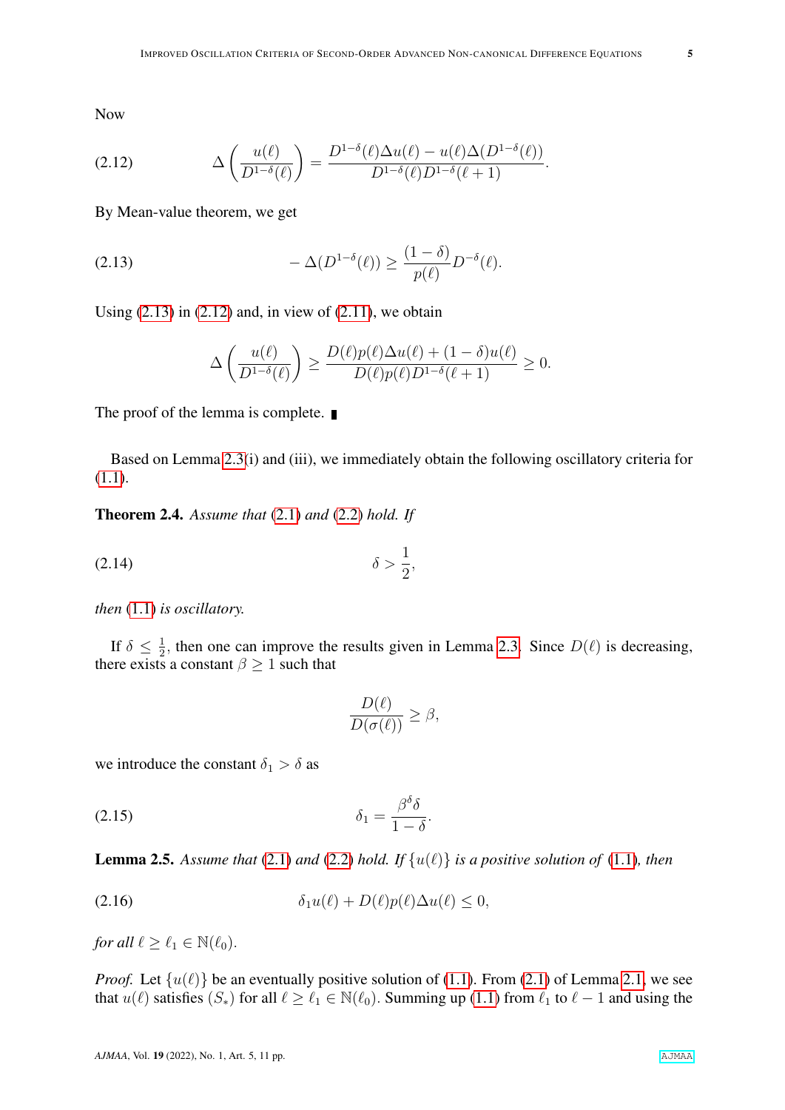Now

<span id="page-4-1"></span>(2.12) 
$$
\Delta \left( \frac{u(\ell)}{D^{1-\delta}(\ell)} \right) = \frac{D^{1-\delta}(\ell) \Delta u(\ell) - u(\ell) \Delta (D^{1-\delta}(\ell))}{D^{1-\delta}(\ell) D^{1-\delta}(\ell+1)}.
$$

By Mean-value theorem, we get

$$
(2.13) \qquad \qquad -\Delta(D^{1-\delta}(\ell)) \ge \frac{(1-\delta)}{p(\ell)}D^{-\delta}(\ell).
$$

Using  $(2.13)$  in  $(2.12)$  and, in view of  $(2.11)$ , we obtain

<span id="page-4-0"></span>
$$
\Delta\left(\frac{u(\ell)}{D^{1-\delta}(\ell)}\right) \ge \frac{D(\ell)p(\ell)\Delta u(\ell) + (1-\delta)u(\ell)}{D(\ell)p(\ell)D^{1-\delta}(\ell+1)} \ge 0.
$$

The proof of the lemma is complete.

Based on Lemma [2.3\(](#page-2-4)i) and (iii), we immediately obtain the following oscillatory criteria for [\(1.1\)](#page-1-0).

<span id="page-4-4"></span>Theorem 2.4. *Assume that* [\(2.1\)](#page-1-2) *and* [\(2.2\)](#page-2-0) *hold. If*

$$
\delta > \frac{1}{2},
$$
\n
$$
\delta > \frac{1}{2},
$$

*then* [\(1.1\)](#page-1-0) *is oscillatory.*

If  $\delta \leq \frac{1}{2}$  $\frac{1}{2}$ , then one can improve the results given in Lemma [2.3.](#page-2-4) Since  $D(\ell)$  is decreasing, there exists a constant  $\beta \geq 1$  such that

<span id="page-4-3"></span><span id="page-4-2"></span>
$$
\frac{D(\ell)}{D(\sigma(\ell))} \ge \beta,
$$

we introduce the constant  $\delta_1 > \delta$  as

$$
\delta_1 = \frac{\beta^{\delta}\delta}{1-\delta}.
$$

**Lemma 2.5.** Assume that [\(2.1\)](#page-1-2) and [\(2.2\)](#page-2-0) hold. If  $\{u(\ell)\}\$ is a positive solution of [\(1.1\)](#page-1-0), then

$$
(2.16) \t\t\t \delta_1 u(\ell) + D(\ell)p(\ell)\Delta u(\ell) \leq 0,
$$

*for all*  $\ell > \ell_1 \in \mathbb{N}(\ell_0)$ .

*Proof.* Let  $\{u(\ell)\}\$  be an eventually positive solution of [\(1.1\)](#page-1-0). From [\(2.1\)](#page-1-2) of Lemma [2.1,](#page-1-4) we see that  $u(\ell)$  satisfies  $(S_*)$  for all  $\ell \geq \ell_1 \in \mathbb{N}(\ell_0)$ . Summing up [\(1.1\)](#page-1-0) from  $\ell_1$  to  $\ell - 1$  and using the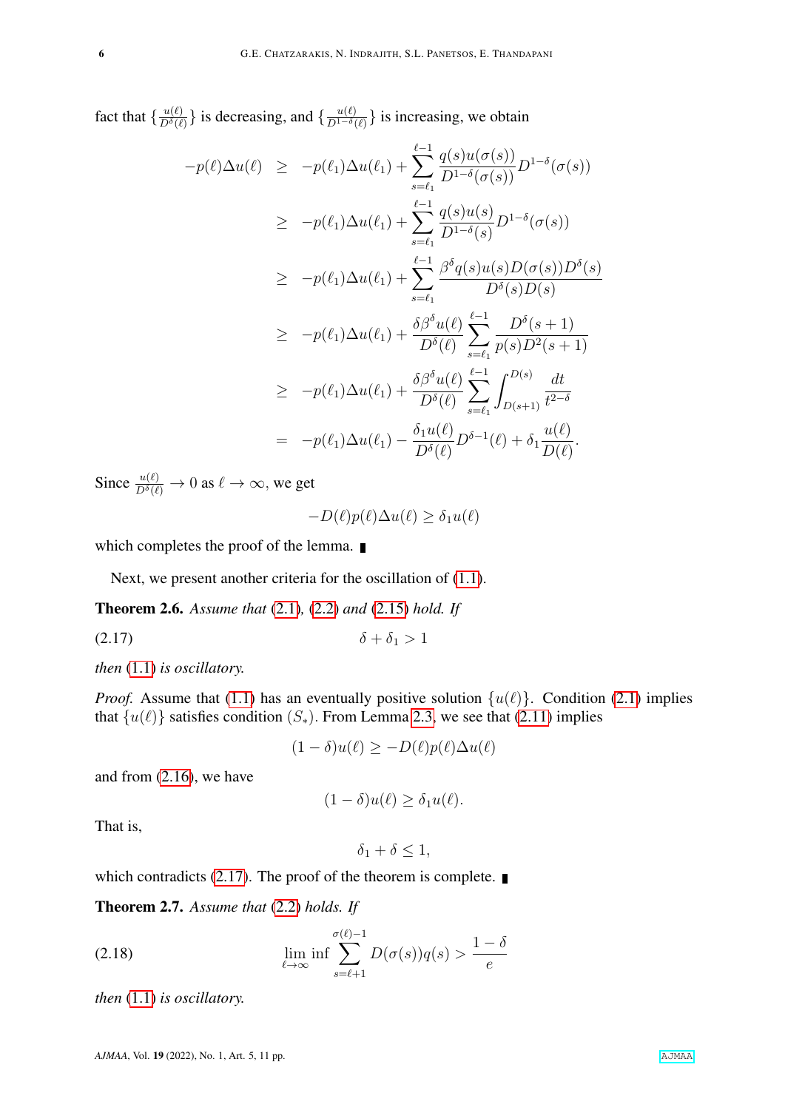fact that  $\frac{u(\ell)}{D^{\delta}(\ell)}$  $\frac{u(\ell)}{D^{\delta}(\ell)}\}$  is decreasing, and  $\{\frac{u(\ell)}{D^{1-\delta}(\ell)}\}$  $\frac{u(\ell)}{D^{1-\delta}(\ell)}\}$  is increasing, we obtain

$$
-p(\ell)\Delta u(\ell) \ge -p(\ell_1)\Delta u(\ell_1) + \sum_{s=\ell_1}^{\ell-1} \frac{q(s)u(\sigma(s))}{D^{1-\delta}(\sigma(s))} D^{1-\delta}(\sigma(s))
$$
  
\n
$$
\ge -p(\ell_1)\Delta u(\ell_1) + \sum_{s=\ell_1}^{\ell-1} \frac{q(s)u(s)}{D^{1-\delta}(s)} D^{1-\delta}(\sigma(s))
$$
  
\n
$$
\ge -p(\ell_1)\Delta u(\ell_1) + \sum_{s=\ell_1}^{\ell-1} \frac{\beta^{\delta}q(s)u(s)D(\sigma(s))D^{\delta}(s)}{D^{\delta}(s)D(s)}
$$
  
\n
$$
\ge -p(\ell_1)\Delta u(\ell_1) + \frac{\delta\beta^{\delta}u(\ell)}{D^{\delta}(\ell)} \sum_{s=\ell_1}^{\ell-1} \frac{D^{\delta}(s+1)}{p(s)D^{2}(s+1)}
$$
  
\n
$$
\ge -p(\ell_1)\Delta u(\ell_1) + \frac{\delta\beta^{\delta}u(\ell)}{D^{\delta}(\ell)} \sum_{s=\ell_1}^{\ell-1} \int_{D(s+1)}^{D(s)} \frac{dt}{t^{2-\delta}}
$$
  
\n
$$
= -p(\ell_1)\Delta u(\ell_1) - \frac{\delta_1 u(\ell)}{D^{\delta}(\ell)} D^{\delta-1}(\ell) + \delta_1 \frac{u(\ell)}{D(\ell)}.
$$

Since  $\frac{u(\ell)}{D^{\delta}(\ell)} \to 0$  as  $\ell \to \infty$ , we get

<span id="page-5-0"></span>
$$
-D(\ell)p(\ell)\Delta u(\ell) \ge \delta_1 u(\ell)
$$

which completes the proof of the lemma.

Next, we present another criteria for the oscillation of [\(1.1\)](#page-1-0).

<span id="page-5-2"></span>Theorem 2.6. *Assume that* [\(2.1\)](#page-1-2)*,* [\(2.2\)](#page-2-0) *and* [\(2.15\)](#page-4-2) *hold. If*

(2.17)  $\delta + \delta_1 > 1$ 

*then* [\(1.1\)](#page-1-0) *is oscillatory.*

*Proof.* Assume that [\(1.1\)](#page-1-0) has an eventually positive solution  $\{u(\ell)\}\$ . Condition [\(2.1\)](#page-1-2) implies that  $\{u(\ell)\}\$  satisfies condition  $(S_*)$ . From Lemma [2.3,](#page-2-4) we see that [\(2.11\)](#page-3-5) implies

 $(1 - \delta)u(\ell) \geq -D(\ell)p(\ell)\Delta u(\ell)$ 

and from [\(2.16\)](#page-4-3), we have

$$
(1 - \delta)u(\ell) \ge \delta_1 u(\ell).
$$

That is,

<span id="page-5-1"></span>
$$
\delta_1 + \delta \le 1,
$$

which contradicts [\(2.17\)](#page-5-0). The proof of the theorem is complete.

Theorem 2.7. *Assume that* [\(2.2\)](#page-2-0) *holds. If*

(2.18) 
$$
\lim_{\ell \to \infty} \inf \sum_{s=\ell+1}^{\sigma(\ell)-1} D(\sigma(s))q(s) > \frac{1-\delta}{e}
$$

*then* [\(1.1\)](#page-1-0) *is oscillatory.*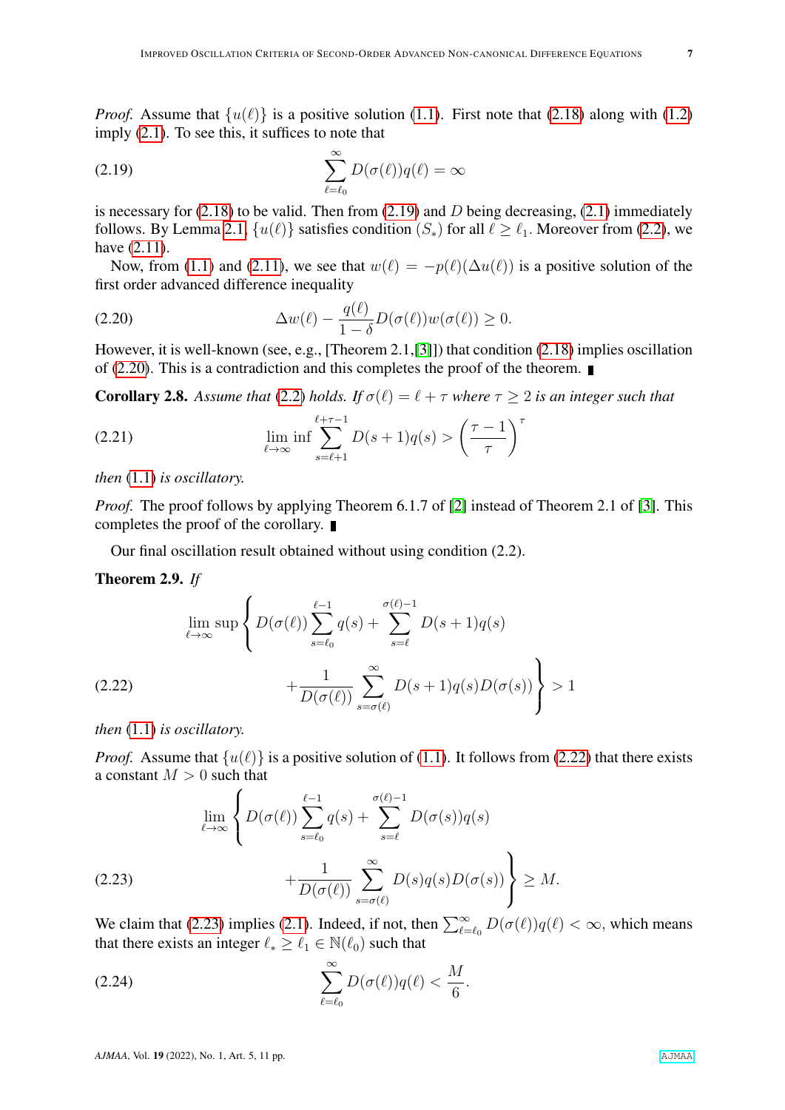*Proof.* Assume that  $\{u(\ell)\}\$ is a positive solution [\(1.1\)](#page-1-0). First note that [\(2.18\)](#page-5-1) along with [\(1.2\)](#page-1-1) imply [\(2.1\)](#page-1-2). To see this, it suffices to note that

<span id="page-6-0"></span>(2.19) 
$$
\sum_{\ell=\ell_0}^{\infty} D(\sigma(\ell))q(\ell) = \infty
$$

is necessary for  $(2.18)$  to be valid. Then from  $(2.19)$  and D being decreasing,  $(2.1)$  immediately follows. By Lemma [2.1,](#page-1-4)  $\{u(\ell)\}\$  satisfies condition  $(S_*)$  for all  $\ell \geq \ell_1$ . Moreover from [\(2.2\)](#page-2-0), we have [\(2.11\)](#page-3-5).

Now, from [\(1.1\)](#page-1-0) and [\(2.11\)](#page-3-5), we see that  $w(\ell) = -p(\ell)(\Delta u(\ell))$  is a positive solution of the first order advanced difference inequality

<span id="page-6-1"></span>(2.20) 
$$
\Delta w(\ell) - \frac{q(\ell)}{1-\delta}D(\sigma(\ell))w(\sigma(\ell)) \ge 0.
$$

However, it is well-known (see, e.g., [Theorem 2.1,[\[3\]](#page-9-2)]) that condition [\(2.18\)](#page-5-1) implies oscillation of [\(2.20\)](#page-6-1). This is a contradiction and this completes the proof of the theorem.  $\blacksquare$ 

**Corollary 2.8.** Assume that [\(2.2\)](#page-2-0) holds. If  $\sigma(\ell) = \ell + \tau$  where  $\tau > 2$  is an integer such that

(2.21) 
$$
\lim_{\ell \to \infty} \inf \sum_{s=\ell+1}^{\ell+\tau-1} D(s+1)q(s) > \left(\frac{\tau-1}{\tau}\right)^{\tau}
$$

*then* [\(1.1\)](#page-1-0) *is oscillatory.*

*Proof.* The proof follows by applying Theorem 6.1.7 of [\[2\]](#page-9-1) instead of Theorem 2.1 of [\[3\]](#page-9-2). This completes the proof of the corollary.

Our final oscillation result obtained without using condition (2.2).

## <span id="page-6-4"></span>Theorem 2.9. *If*

<span id="page-6-2"></span>
$$
\lim_{\ell \to \infty} \sup \left\{ D(\sigma(\ell)) \sum_{s=\ell_0}^{\ell-1} q(s) + \sum_{s=\ell}^{\sigma(\ell)-1} D(s+1)q(s) + \frac{1}{D(\sigma(\ell))} \sum_{s=\sigma(\ell)}^{\infty} D(s+1)q(s)D(\sigma(s)) \right\} > 1
$$

*then* [\(1.1\)](#page-1-0) *is oscillatory.*

*Proof.* Assume that  $\{u(\ell)\}\$ is a positive solution of [\(1.1\)](#page-1-0). It follows from [\(2.22\)](#page-6-2) that there exists a constant  $M > 0$  such that

<span id="page-6-3"></span>(2.23) 
$$
\lim_{\ell \to \infty} \left\{ D(\sigma(\ell)) \sum_{s=\ell_0}^{\ell-1} q(s) + \sum_{s=\ell}^{\sigma(\ell)-1} D(\sigma(s)) q(s) + \frac{1}{D(\sigma(\ell))} \sum_{s=\sigma(\ell)}^{\infty} D(s) q(s) D(\sigma(s)) \right\} \geq M.
$$

We claim that [\(2.23\)](#page-6-3) implies [\(2.1\)](#page-1-2). Indeed, if not, then  $\sum_{\ell=\ell_0}^{\infty} D(\sigma(\ell))q(\ell) < \infty$ , which means that there exists an integer  $\ell_* \geq \ell_1 \in \mathbb{N}(\ell_0)$  such that

$$
\sum_{\ell=\ell_0}^{\infty} D(\sigma(\ell))q(\ell) < \frac{M}{6}.
$$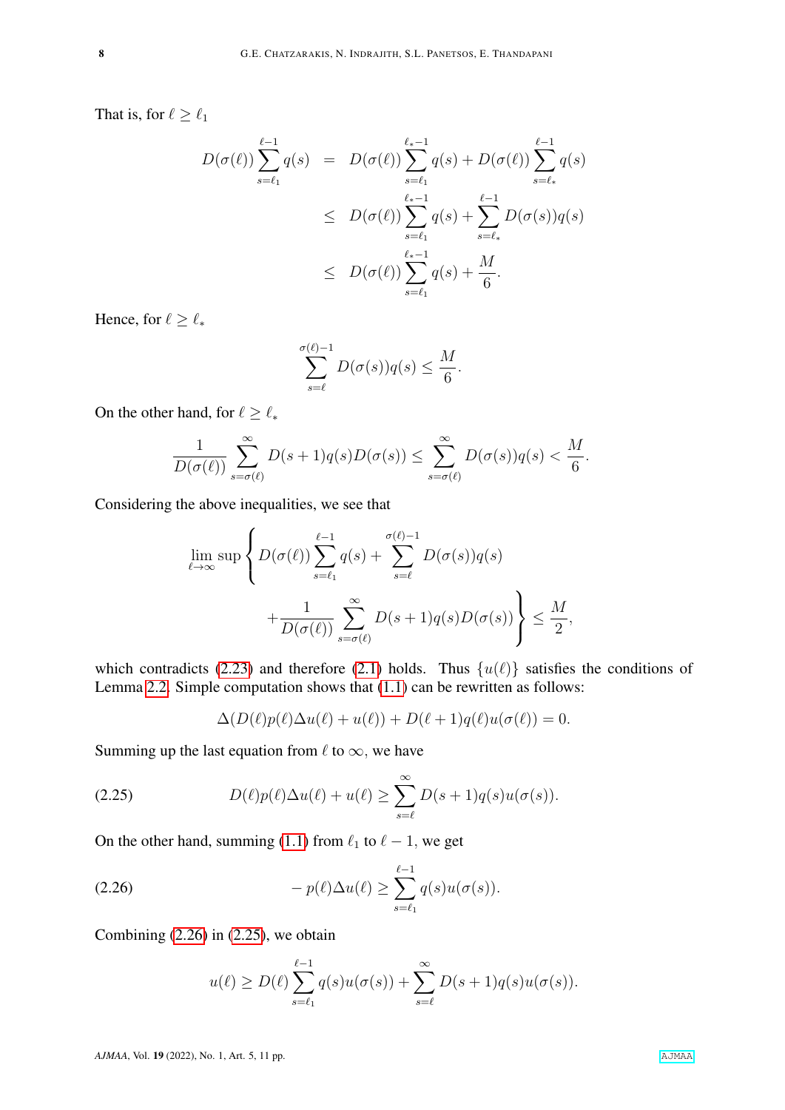That is, for  $\ell \geq \ell_1$ 

$$
D(\sigma(\ell)) \sum_{s=\ell_1}^{\ell-1} q(s) = D(\sigma(\ell)) \sum_{s=\ell_1}^{\ell_*-1} q(s) + D(\sigma(\ell)) \sum_{s=\ell_*}^{\ell-1} q(s)
$$
  

$$
\leq D(\sigma(\ell)) \sum_{s=\ell_1}^{\ell_*-1} q(s) + \sum_{s=\ell_*}^{\ell-1} D(\sigma(s)) q(s)
$$
  

$$
\leq D(\sigma(\ell)) \sum_{s=\ell_1}^{\ell_*-1} q(s) + \frac{M}{6}.
$$

Hence, for  $\ell \geq \ell_*$ 

$$
\sum_{s=\ell}^{\sigma(\ell)-1} D(\sigma(s))q(s) \le \frac{M}{6}.
$$

On the other hand, for  $\ell \geq \ell_*$ 

$$
\frac{1}{D(\sigma(\ell))}\sum_{s=\sigma(\ell)}^{\infty}D(s+1)q(s)D(\sigma(s))\leq \sum_{s=\sigma(\ell)}^{\infty}D(\sigma(s))q(s)<\frac{M}{6}.
$$

Considering the above inequalities, we see that

$$
\lim_{\ell \to \infty} \sup \left\{ D(\sigma(\ell)) \sum_{s=\ell_1}^{\ell-1} q(s) + \sum_{s=\ell}^{\sigma(\ell)-1} D(\sigma(s)) q(s) + \frac{1}{D(\sigma(\ell))} \sum_{s=\sigma(\ell)}^{\infty} D(s+1) q(s) D(\sigma(s)) \right\} \le \frac{M}{2},
$$

which contradicts [\(2.23\)](#page-6-3) and therefore [\(2.1\)](#page-1-2) holds. Thus  $\{u(\ell)\}\$  satisfies the conditions of Lemma [2.2.](#page-1-3) Simple computation shows that [\(1.1\)](#page-1-0) can be rewritten as follows:

<span id="page-7-1"></span>
$$
\Delta(D(\ell)p(\ell)\Delta u(\ell) + u(\ell)) + D(\ell+1)q(\ell)u(\sigma(\ell)) = 0.
$$

Summing up the last equation from  $\ell$  to  $\infty$ , we have

(2.25) 
$$
D(\ell)p(\ell)\Delta u(\ell)+u(\ell) \geq \sum_{s=\ell}^{\infty} D(s+1)q(s)u(\sigma(s)).
$$

On the other hand, summing [\(1.1\)](#page-1-0) from  $\ell_1$  to  $\ell - 1$ , we get

$$
(2.26) \t-p(\ell)\Delta u(\ell) \geq \sum_{s=\ell_1}^{\ell-1} q(s)u(\sigma(s)).
$$

Combining  $(2.26)$  in  $(2.25)$ , we obtain

<span id="page-7-0"></span>
$$
u(\ell) \ge D(\ell) \sum_{s=\ell_1}^{\ell-1} q(s)u(\sigma(s)) + \sum_{s=\ell}^{\infty} D(s+1)q(s)u(\sigma(s)).
$$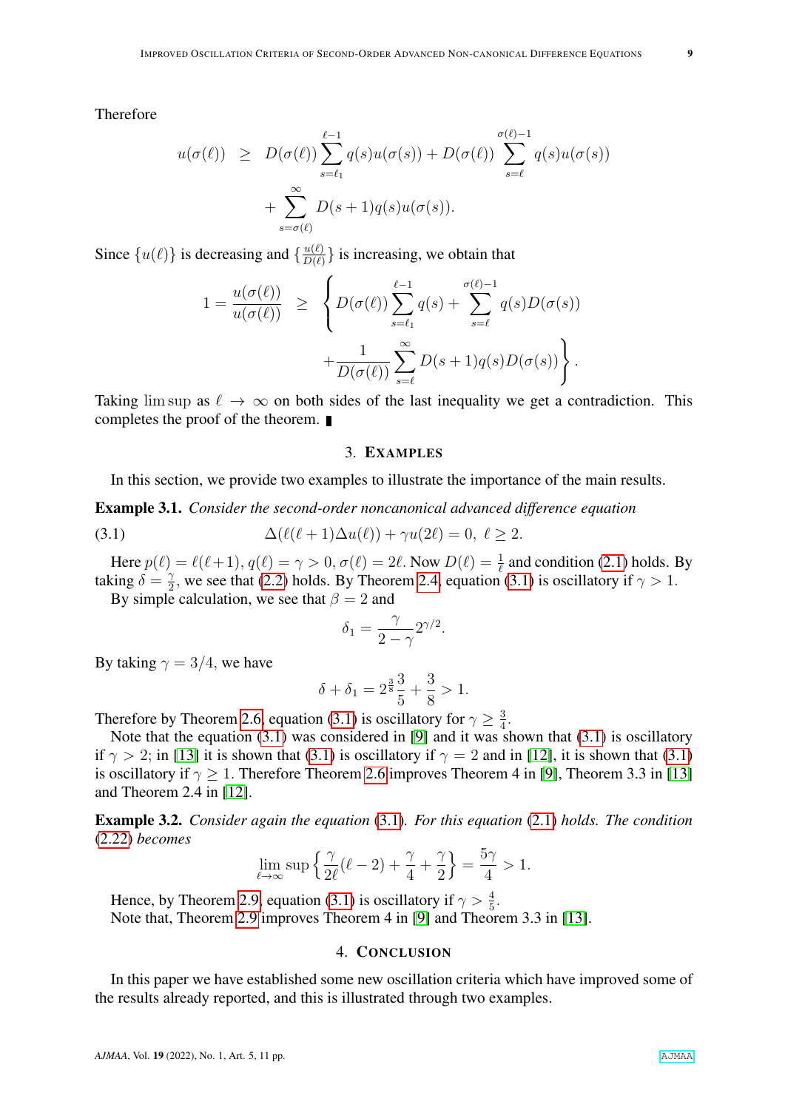Therefore

$$
u(\sigma(\ell)) \geq D(\sigma(\ell)) \sum_{s=\ell_1}^{\ell-1} q(s)u(\sigma(s)) + D(\sigma(\ell)) \sum_{s=\ell}^{\sigma(\ell)-1} q(s)u(\sigma(s)) + \sum_{s=\sigma(\ell)}^{\infty} D(s+1)q(s)u(\sigma(s)).
$$

Since  $\{u(\ell)\}\$ is decreasing and  $\{\frac{u(\ell)}{D(\ell)}\}$  $\frac{u(\ell)}{D(\ell)}$  is increasing, we obtain that

$$
1 = \frac{u(\sigma(\ell))}{u(\sigma(\ell))} \ge \left\{ D(\sigma(\ell)) \sum_{s=\ell_1}^{\ell-1} q(s) + \sum_{s=\ell}^{\sigma(\ell)-1} q(s)D(\sigma(s)) + \frac{1}{D(\sigma(\ell))} \sum_{s=\ell}^{\infty} D(s+1)q(s)D(\sigma(s)) \right\}.
$$

Taking lim sup as  $\ell \to \infty$  on both sides of the last inequality we get a contradiction. This completes the proof of the theorem.

## <span id="page-8-0"></span>3. EXAMPLES

In this section, we provide two examples to illustrate the importance of the main results.

Example 3.1. *Consider the second-order noncanonical advanced difference equation*

(3.1) 
$$
\Delta(\ell(\ell+1)\Delta u(\ell)) + \gamma u(2\ell) = 0, \ \ell \geq 2.
$$

Here  $p(\ell) = \ell(\ell+1)$ ,  $q(\ell) = \gamma > 0$ ,  $\sigma(\ell) = 2\ell$ . Now  $D(\ell) = \frac{1}{\ell}$  and condition [\(2.1\)](#page-1-2) holds. By taking  $\delta = \frac{1}{2}$  $\frac{\gamma}{2}$ , we see that [\(2.2\)](#page-2-0) holds. By Theorem [2.4,](#page-4-4) equation [\(3.1\)](#page-8-0) is oscillatory if  $\gamma > 1$ .

By simple calculation, we see that  $\beta = 2$  and

$$
\delta_1 = \frac{\gamma}{2 - \gamma} 2^{\gamma/2}.
$$

By taking  $\gamma = 3/4$ , we have

$$
\delta + \delta_1 = 2^{\frac{3}{8}}\frac{3}{5} + \frac{3}{8} > 1.
$$

Therefore by Theorem [2.6,](#page-5-2) equation [\(3.1\)](#page-8-0) is oscillatory for  $\gamma \geq \frac{3}{4}$  $\frac{3}{4}$ .

Note that the equation  $(3.1)$  was considered in [\[9\]](#page-9-17) and it was shown that  $(3.1)$  is oscillatory if  $\gamma > 2$ ; in [\[13\]](#page-9-16) it is shown that [\(3.1\)](#page-8-0) is oscillatory if  $\gamma = 2$  and in [\[12\]](#page-9-15), it is shown that (3.1) is oscillatory if  $\gamma \geq 1$ . Therefore Theorem [2.6](#page-5-2) improves Theorem 4 in [\[9\]](#page-9-17), Theorem 3.3 in [\[13\]](#page-9-16) and Theorem 2.4 in [\[12\]](#page-9-15).

Example 3.2. *Consider again the equation* [\(3.1\)](#page-8-0)*. For this equation* [\(2.1\)](#page-1-2) *holds. The condition* [\(2.22\)](#page-6-2) *becomes*

$$
\lim_{\ell \to \infty} \sup \left\{ \frac{\gamma}{2\ell} (\ell - 2) + \frac{\gamma}{4} + \frac{\gamma}{2} \right\} = \frac{5\gamma}{4} > 1.
$$

Hence, by Theorem [2.9,](#page-6-4) equation [\(3.1\)](#page-8-0) is oscillatory if  $\gamma > \frac{4}{5}$ . Note that, Theorem [2.9](#page-6-4) improves Theorem 4 in [\[9\]](#page-9-17) and Theorem 3.3 in [\[13\]](#page-9-16).

#### 4. CONCLUSION

In this paper we have established some new oscillation criteria which have improved some of the results already reported, and this is illustrated through two examples.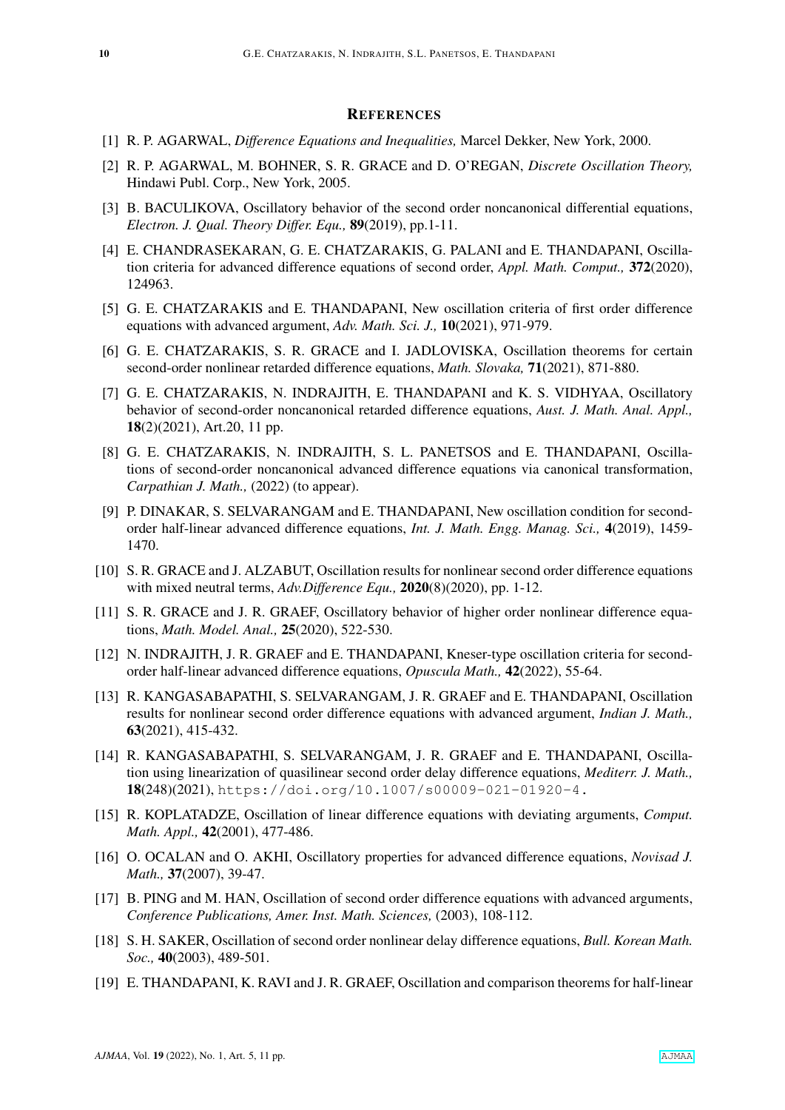## **REFERENCES**

- <span id="page-9-0"></span>[1] R. P. AGARWAL, *Difference Equations and Inequalities,* Marcel Dekker, New York, 2000.
- <span id="page-9-1"></span>[2] R. P. AGARWAL, M. BOHNER, S. R. GRACE and D. O'REGAN, *Discrete Oscillation Theory,* Hindawi Publ. Corp., New York, 2005.
- <span id="page-9-2"></span>[3] B. BACULIKOVA, Oscillatory behavior of the second order noncanonical differential equations, *Electron. J. Qual. Theory Differ. Equ.,* 89(2019), pp.1-11.
- <span id="page-9-12"></span>[4] E. CHANDRASEKARAN, G. E. CHATZARAKIS, G. PALANI and E. THANDAPANI, Oscillation criteria for advanced difference equations of second order, *Appl. Math. Comput.,* 372(2020), 124963.
- [5] G. E. CHATZARAKIS and E. THANDAPANI, New oscillation criteria of first order difference equations with advanced argument, *Adv. Math. Sci. J.,* 10(2021), 971-979.
- <span id="page-9-6"></span>[6] G. E. CHATZARAKIS, S. R. GRACE and I. JADLOVISKA, Oscillation theorems for certain second-order nonlinear retarded difference equations, *Math. Slovaka,* 71(2021), 871-880.
- <span id="page-9-3"></span>[7] G. E. CHATZARAKIS, N. INDRAJITH, E. THANDAPANI and K. S. VIDHYAA, Oscillatory behavior of second-order noncanonical retarded difference equations, *Aust. J. Math. Anal. Appl.,* 18(2)(2021), Art.20, 11 pp.
- <span id="page-9-11"></span>[8] G. E. CHATZARAKIS, N. INDRAJITH, S. L. PANETSOS and E. THANDAPANI, Oscillations of second-order noncanonical advanced difference equations via canonical transformation, *Carpathian J. Math.,* (2022) (to appear).
- <span id="page-9-17"></span>[9] P. DINAKAR, S. SELVARANGAM and E. THANDAPANI, New oscillation condition for secondorder half-linear advanced difference equations, *Int. J. Math. Engg. Manag. Sci.,* 4(2019), 1459- 1470.
- <span id="page-9-4"></span>[10] S. R. GRACE and J. ALZABUT, Oscillation results for nonlinear second order difference equations with mixed neutral terms, *Adv.Difference Equ.,* 2020(8)(2020), pp. 1-12.
- <span id="page-9-5"></span>[11] S. R. GRACE and J. R. GRAEF, Oscillatory behavior of higher order nonlinear difference equations, *Math. Model. Anal.,* 25(2020), 522-530.
- <span id="page-9-15"></span>[12] N. INDRAJITH, J. R. GRAEF and E. THANDAPANI, Kneser-type oscillation criteria for secondorder half-linear advanced difference equations, *Opuscula Math.,* 42(2022), 55-64.
- <span id="page-9-16"></span>[13] R. KANGASABAPATHI, S. SELVARANGAM, J. R. GRAEF and E. THANDAPANI, Oscillation results for nonlinear second order difference equations with advanced argument, *Indian J. Math.,* 63(2021), 415-432.
- <span id="page-9-7"></span>[14] R. KANGASABAPATHI, S. SELVARANGAM, J. R. GRAEF and E. THANDAPANI, Oscillation using linearization of quasilinear second order delay difference equations, *Mediterr. J. Math.,* 18(248)(2021), https://doi.org/10.1007/s00009-021-01920-4.
- <span id="page-9-8"></span>[15] R. KOPLATADZE, Oscillation of linear difference equations with deviating arguments, *Comput. Math. Appl.,* 42(2001), 477-486.
- <span id="page-9-13"></span>[16] O. OCALAN and O. AKHI, Oscillatory properties for advanced difference equations, *Novisad J. Math.,* 37(2007), 39-47.
- <span id="page-9-14"></span>[17] B. PING and M. HAN, Oscillation of second order difference equations with advanced arguments, *Conference Publications, Amer. Inst. Math. Sciences,* (2003), 108-112.
- <span id="page-9-9"></span>[18] S. H. SAKER, Oscillation of second order nonlinear delay difference equations, *Bull. Korean Math. Soc.,* 40(2003), 489-501.
- <span id="page-9-10"></span>[19] E. THANDAPANI, K. RAVI and J. R. GRAEF, Oscillation and comparison theorems for half-linear